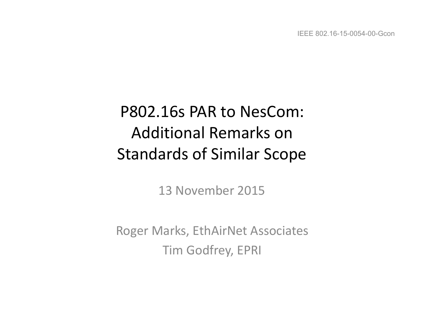# P802.16s PAR to NesCom: Additional Remarks on Standards of Similar Scope

13 November 2015

Roger Marks, EthAirNet Associates **Tim Godfrey, EPRI**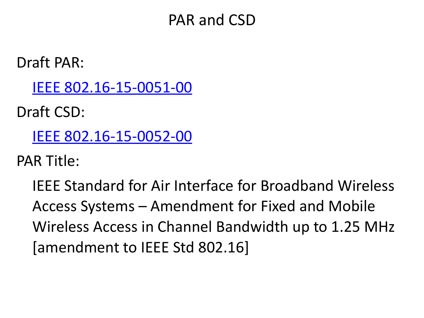## PAR and CSD

Draft PAR:

[IEEE 802.16-15-0051-00](https://mentor.ieee.org/802.16/dcn/15/16-15-0051-00.pdf)

Draft CSD:

[IEEE 802.16-15-0052-00](https://mentor.ieee.org/802.16/dcn/15/16-15-0052-00.pdf)

PAR Title:

IEEE Standard for Air Interface for Broadband Wireless Access Systems – Amendment for Fixed and Mobile Wireless Access in Channel Bandwidth up to 1.25 MHz [amendment to IEEE Std 802.16]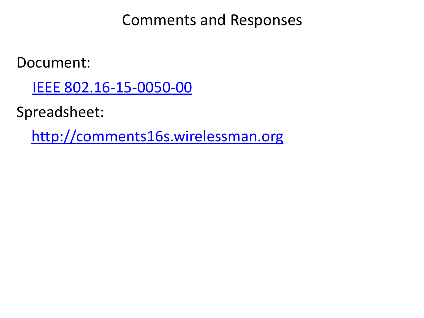Comments and Responses

Document: 

[IEEE 802.16-15-0050-00](https://mentor.ieee.org/802.16/dcn/15/16-15-0050-00.pdf)

Spreadsheet: 

 <http://comments16s.wirelessman.org>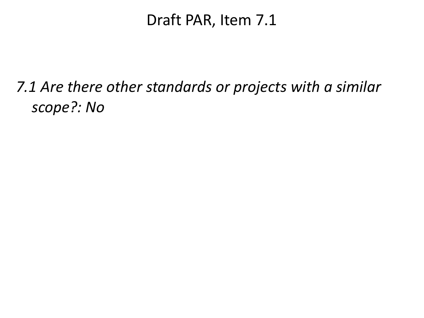#### Draft PAR, Item 7.1

## *7.1* Are there other standards or projects with a similar *scope?: No*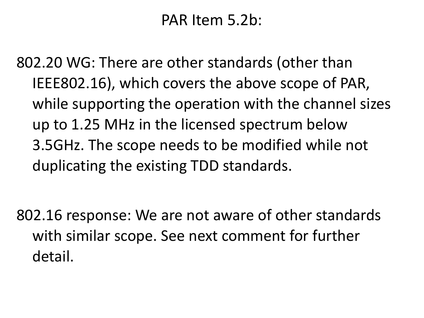## PAR Item 5.2b:

802.20 WG: There are other standards (other than IEEE802.16), which covers the above scope of PAR, while supporting the operation with the channel sizes up to 1.25 MHz in the licensed spectrum below 3.5GHz. The scope needs to be modified while not duplicating the existing TDD standards.

802.16 response: We are not aware of other standards with similar scope. See next comment for further detail.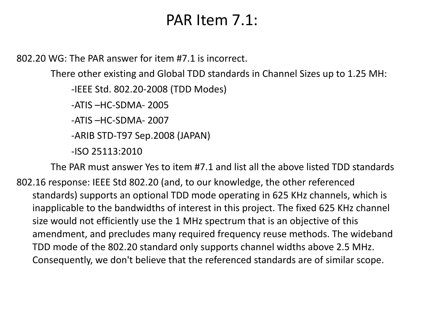#### PAR Item 7.1:

 $802.20$  WG: The PAR answer for item #7.1 is incorrect.

There other existing and Global TDD standards in Channel Sizes up to 1.25 MH:

-IEEE Std. 802.20-2008 (TDD Modes) 

 $-ATIS - HC-SDMA-2005$ 

 $-ATIS - HC-SDMA-2007$ 

-ARIB STD-T97 Sep.2008 (JAPAN) 

-ISO 25113:2010 

The PAR must answer Yes to item #7.1 and list all the above listed TDD standards 802.16 response: IEEE Std 802.20 (and, to our knowledge, the other referenced standards) supports an optional TDD mode operating in 625 KHz channels, which is inapplicable to the bandwidths of interest in this project. The fixed 625 KHz channel size would not efficiently use the 1 MHz spectrum that is an objective of this amendment, and precludes many required frequency reuse methods. The wideband TDD mode of the 802.20 standard only supports channel widths above 2.5 MHz. Consequently, we don't believe that the referenced standards are of similar scope.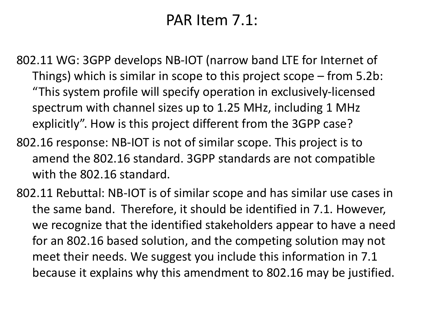## PAR Item 7.1:

802.11 WG: 3GPP develops NB-IOT (narrow band LTE for Internet of Things) which is similar in scope to this project scope  $-$  from 5.2b: "This system profile will specify operation in exclusively-licensed spectrum with channel sizes up to 1.25 MHz, including 1 MHz explicitly". How is this project different from the 3GPP case?

- 802.16 response: NB-IOT is not of similar scope. This project is to amend the 802.16 standard. 3GPP standards are not compatible with the 802.16 standard.
- 802.11 Rebuttal: NB-IOT is of similar scope and has similar use cases in the same band. Therefore, it should be identified in 7.1. However, we recognize that the identified stakeholders appear to have a need for an 802.16 based solution, and the competing solution may not meet their needs. We suggest you include this information in 7.1 because it explains why this amendment to 802.16 may be justified.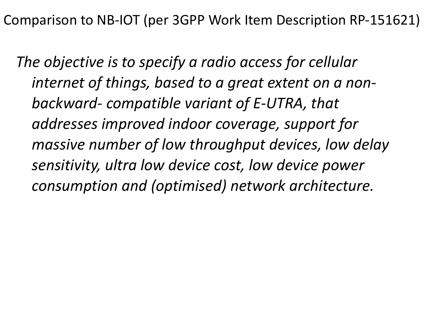The objective is to specify a radio access for cellular internet of things, based to a great extent on a nonbackward- compatible variant of E-UTRA, that addresses improved indoor coverage, support for *massive number of low throughput devices, low delay* sensitivity, ultra low device cost, low device power *consumption and (optimised) network architecture.*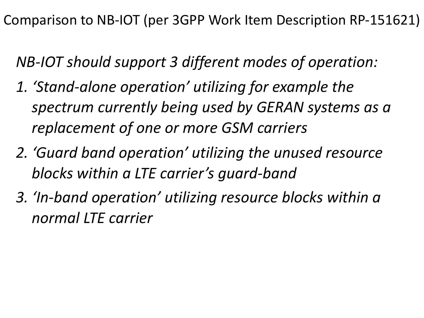*NB-IOT should support 3 different modes of operation:* 

- 1. 'Stand-alone operation' utilizing for example the *spectrum currently being used by GERAN systems as a replacement of one or more GSM carriers*
- *2. 'Guard band operation' utilizing the unused resource blocks* within a LTE carrier's quard-band
- *3. 'In-band operation' utilizing resource blocks within a normal LTE carrier*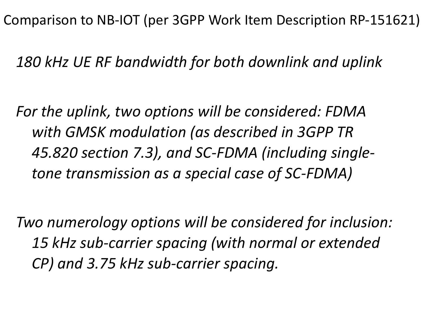*180 kHz UE RF bandwidth for both downlink and uplink*

For the uplink, two options will be considered: FDMA with GMSK modulation (as described in 3GPP TR 45.820 section 7.3), and SC-FDMA (including singletone transmission as a special case of SC-FDMA)

*Two numerology options will be considered for inclusion:* 15 kHz sub-carrier spacing (with normal or extended *CP) and 3.75 kHz sub-carrier spacing.*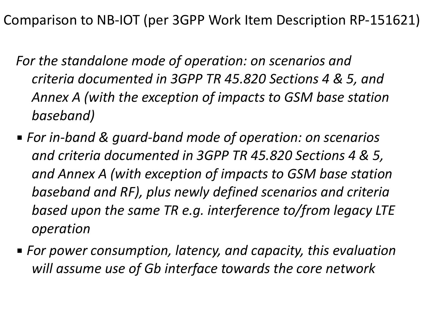- For the standalone mode of operation: on scenarios and *criteria documented in 3GPP TR 45.820 Sections 4 & 5, and*  Annex A (with the exception of impacts to GSM base station *baseband)*
- For in-band & guard-band mode of operation: on scenarios *and criteria documented in 3GPP TR 45.820 Sections 4 & 5,*  and Annex A (with exception of impacts to GSM base station baseband and RF), plus newly defined scenarios and criteria *based upon the same TR e.g. interference to/from legacy LTE operation*
- For power consumption, latency, and capacity, this evaluation *will assume use of Gb interface towards the core network*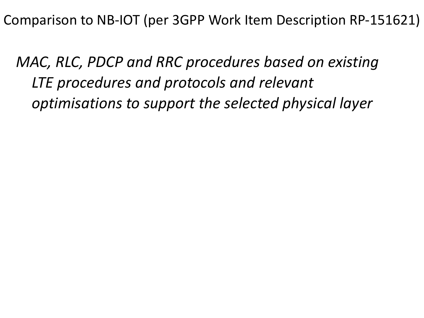*MAC, RLC, PDCP and RRC procedures based on existing* LTE procedures and protocols and relevant *optimisations to support the selected physical layer*